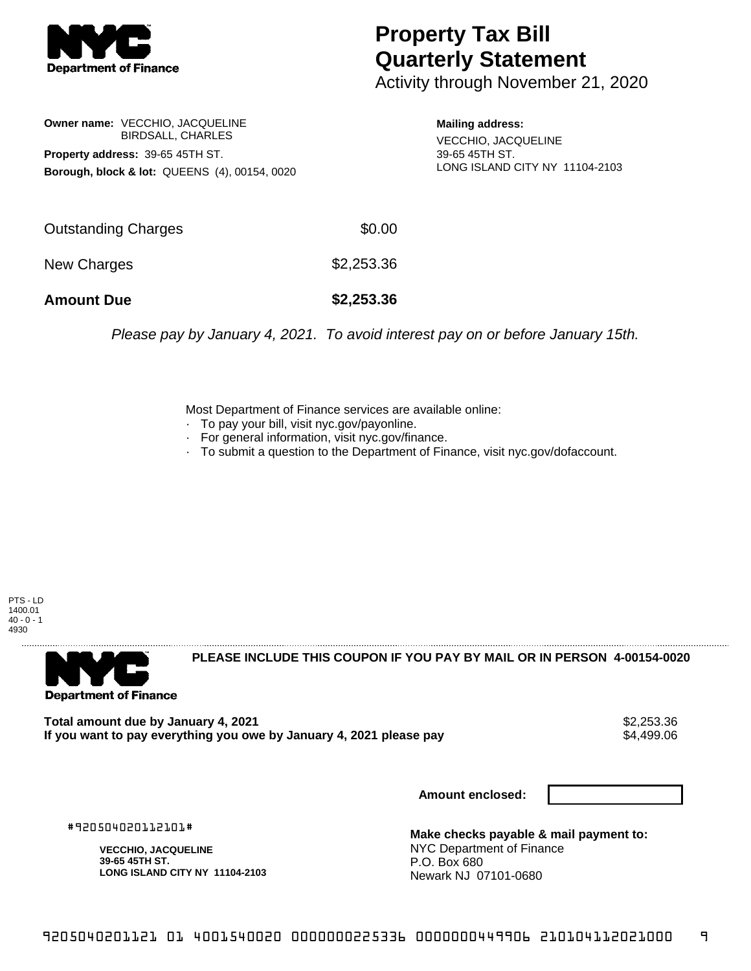

## **Property Tax Bill Quarterly Statement**

Activity through November 21, 2020

**Owner name:** VECCHIO, JACQUELINE BIRDSALL, CHARLES **Property address:** 39-65 45TH ST. **Borough, block & lot:** QUEENS (4), 00154, 0020

**Mailing address:**

VECCHIO, JACQUELINE 39-65 45TH ST. LONG ISLAND CITY NY 11104-2103

| <b>Amount Due</b>   | \$2,253.36 |
|---------------------|------------|
| New Charges         | \$2,253.36 |
| Outstanding Charges | \$0.00     |

Please pay by January 4, 2021. To avoid interest pay on or before January 15th.

Most Department of Finance services are available online:

- · To pay your bill, visit nyc.gov/payonline.
- For general information, visit nyc.gov/finance.
- · To submit a question to the Department of Finance, visit nyc.gov/dofaccount.

PTS - LD 1400.01  $40 - 0 - 1$ 4930



**PLEASE INCLUDE THIS COUPON IF YOU PAY BY MAIL OR IN PERSON 4-00154-0020** 

**Total amount due by January 4, 2021**<br>If you want to pay everything you owe by January 4, 2021 please pay **strategy of the State of the State State** S If you want to pay everything you owe by January 4, 2021 please pay

**Amount enclosed:**

#920504020112101#

**VECCHIO, JACQUELINE 39-65 45TH ST. LONG ISLAND CITY NY 11104-2103**

**Make checks payable & mail payment to:** NYC Department of Finance P.O. Box 680 Newark NJ 07101-0680